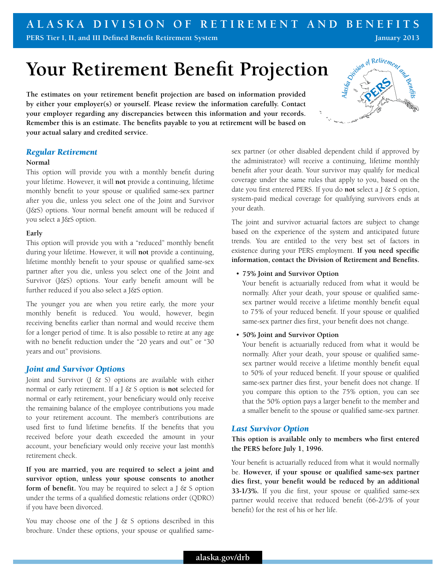## **A l a s k a Division of Reti r ement a n d Benefits**

**PERS Tier I, II, and III Defined Benefit Retirement System**

# **Your Retirement Benefit Projection**

**The estimates on your retirement benefit projection are based on information provided by either your employer(s) or yourself. Please review the information carefully. Contact your employer regarding any discrepancies between this information and your records. Remember this is an estimate. The benefits payable to you at retirement will be based on your actual salary and credited service.**

## *Regular Retirement*

#### **Normal**

This option will provide you with a monthly benefit during your lifetime. However, it will **not** provide a continuing, lifetime monthly benefit to your spouse or qualified same-sex partner after you die, unless you select one of the Joint and Survivor (J&S) options. Your normal benefit amount will be reduced if you select a J&S option.

## **Early**

This option will provide you with a "reduced" monthly benefit during your lifetime. However, it will **not** provide a continuing, lifetime monthly benefit to your spouse or qualified same-sex partner after you die, unless you select one of the Joint and Survivor (J&S) options. Your early benefit amount will be further reduced if you also select a J&S option.

The younger you are when you retire early, the more your monthly benefit is reduced. You would, however, begin receiving benefits earlier than normal and would receive them for a longer period of time. It is also possible to retire at any age with no benefit reduction under the "20 years and out" or "30 years and out" provisions.

## *Joint and Survivor Options*

Joint and Survivor  $(J \& S)$  options are available with either normal or early retirement. If a J & S option is **not** selected for normal or early retirement, your beneficiary would only receive the remaining balance of the employee contributions you made to your retirement account. The member's contributions are used first to fund lifetime benefits. If the benefits that you received before your death exceeded the amount in your account, your beneficiary would only receive your last month's retirement check.

**If you are married, you are required to select a joint and survivor option, unless your spouse consents to another form of benefit.** You may be required to select a J & S option under the terms of a qualified domestic relations order (QDRO) if you have been divorced.

You may choose one of the J  $&$  S options described in this brochure. Under these options, your spouse or qualified samesex partner (or other disabled dependent child if approved by the administrator) will receive a continuing, lifetime monthly benefit after your death. Your survivor may qualify for medical coverage under the same rules that apply to you, based on the date you first entered PERS. If you do **not** select a J & S option, system-paid medical coverage for qualifying survivors ends at your death.

The joint and survivor actuarial factors are subject to change based on the experience of the system and anticipated future trends. You are entitled to the very best set of factors in existence during your PERS employment. **If you need specific information, contact the Division of Retirement and Benefits.** 

## • **75% Joint and Survivor Option**

Your benefit is actuarially reduced from what it would be normally. After your death, your spouse or qualified samesex partner would receive a lifetime monthly benefit equal to 75% of your reduced benefit. If your spouse or qualified same-sex partner dies first, your benefit does not change.

## • **50% Joint and Survivor Option**

Your benefit is actuarially reduced from what it would be normally. After your death, your spouse or qualified samesex partner would receive a lifetime monthly benefit equal to 50% of your reduced benefit. If your spouse or qualified same-sex partner dies first, your benefit does not change. If you compare this option to the 75% option, you can see that the 50% option pays a larger benefit to the member and a smaller benefit to the spouse or qualified same-sex partner.

## *Last Survivor Option*

**This option is available only to members who first entered the PERS before July 1, 1996.** 

Your benefit is actuarially reduced from what it would normally be. **However, if your spouse or qualified same-sex partner dies first, your benefit would be reduced by an additional 33-1/3%.** If you die first, your spouse or qualified same-sex partner would receive that reduced benefit (66-2/3% of your benefit) for the rest of his or her life.



**January 2013**